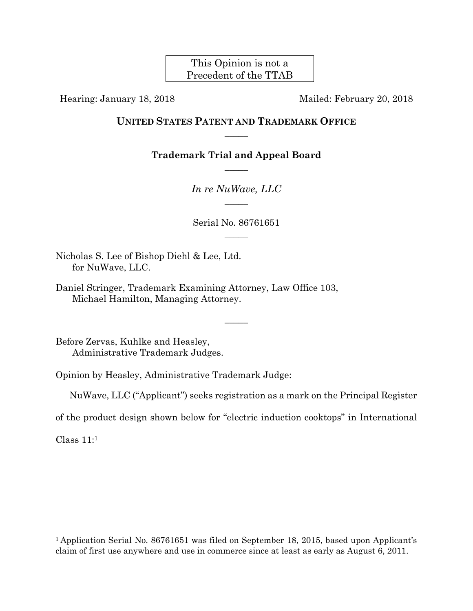This Opinion is not a Precedent of the TTAB

Hearing: January 18, 2018 Mailed: February 20, 2018

# **UNITED STATES PATENT AND TRADEMARK OFFICE**  $\overline{\phantom{a}}$

**Trademark Trial and Appeal Board**   $\overline{\phantom{a}}$ 

> *In re NuWave, LLC*   $\overline{\phantom{a}}$

Serial No. 86761651  $\overline{\phantom{a}}$ 

Nicholas S. Lee of Bishop Diehl & Lee, Ltd. for NuWave, LLC.

Daniel Stringer, Trademark Examining Attorney, Law Office 103, Michael Hamilton, Managing Attorney.

Before Zervas, Kuhlke and Heasley, Administrative Trademark Judges.

Opinion by Heasley, Administrative Trademark Judge:

NuWave, LLC ("Applicant") seeks registration as a mark on the Principal Register

 $\overline{\phantom{a}}$ 

of the product design shown below for "electric induction cooktops" in International

Class 11:1

1

<sup>&</sup>lt;sup>1</sup> Application Serial No. 86761651 was filed on September 18, 2015, based upon Applicant's claim of first use anywhere and use in commerce since at least as early as August 6, 2011.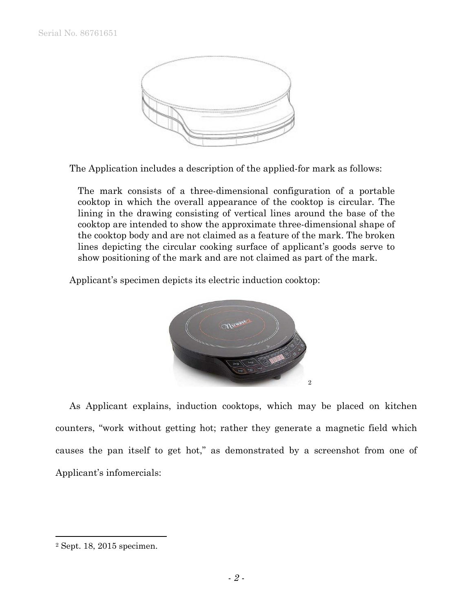

The Application includes a description of the applied-for mark as follows:

The mark consists of a three-dimensional configuration of a portable cooktop in which the overall appearance of the cooktop is circular. The lining in the drawing consisting of vertical lines around the base of the cooktop are intended to show the approximate three-dimensional shape of the cooktop body and are not claimed as a feature of the mark. The broken lines depicting the circular cooking surface of applicant's goods serve to show positioning of the mark and are not claimed as part of the mark.

Applicant's specimen depicts its electric induction cooktop:



 As Applicant explains, induction cooktops, which may be placed on kitchen counters, "work without getting hot; rather they generate a magnetic field which causes the pan itself to get hot," as demonstrated by a screenshot from one of Applicant's infomercials:

<sup>2</sup> Sept. 18, 2015 specimen.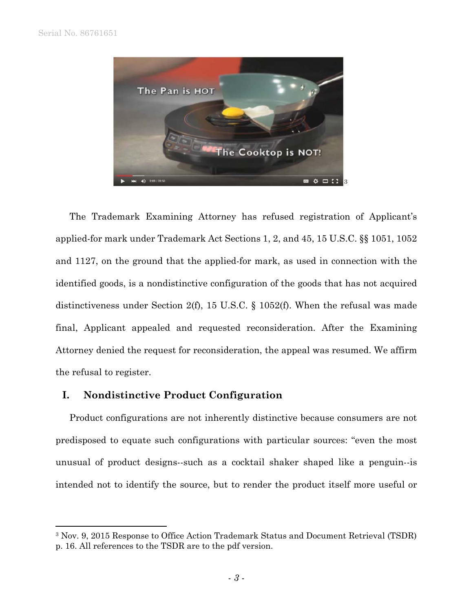$\overline{a}$ 



The Trademark Examining Attorney has refused registration of Applicant's applied-for mark under Trademark Act Sections 1, 2, and 45, 15 U.S.C. §§ 1051, 1052 and 1127, on the ground that the applied-for mark, as used in connection with the identified goods, is a nondistinctive configuration of the goods that has not acquired distinctiveness under Section 2(f), 15 U.S.C. § 1052(f). When the refusal was made final, Applicant appealed and requested reconsideration. After the Examining Attorney denied the request for reconsideration, the appeal was resumed. We affirm the refusal to register.

# **I. Nondistinctive Product Configuration**

 Product configurations are not inherently distinctive because consumers are not predisposed to equate such configurations with particular sources: "even the most unusual of product designs--such as a cocktail shaker shaped like a penguin--is intended not to identify the source, but to render the product itself more useful or

<sup>3</sup> Nov. 9, 2015 Response to Office Action Trademark Status and Document Retrieval (TSDR) p. 16. All references to the TSDR are to the pdf version.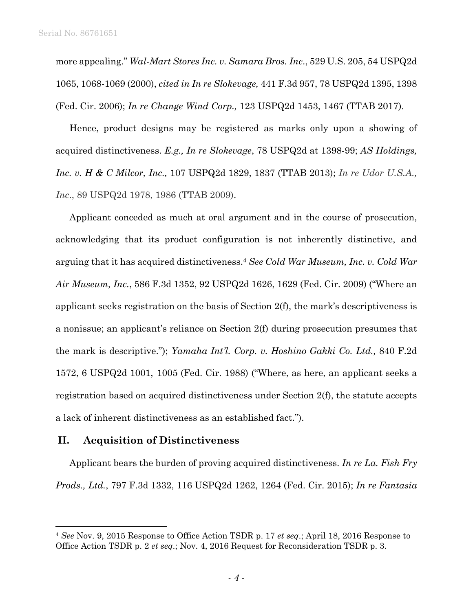more appealing." *Wal-Mart Stores Inc. v. Samara Bros. Inc*., 529 U.S. 205, 54 USPQ2d 1065, 1068-1069 (2000), *cited in In re Slokevage,* 441 F.3d 957, 78 USPQ2d 1395, 1398 (Fed. Cir. 2006); *In re Change Wind Corp.,* 123 USPQ2d 1453, 1467 (TTAB 2017).

 Hence, product designs may be registered as marks only upon a showing of acquired distinctiveness. *E.g., In re Slokevage*, 78 USPQ2d at 1398-99; *AS Holdings, Inc. v. H & C Milcor, Inc.,* 107 USPQ2d 1829, 1837 (TTAB 2013); *In re Udor U.S.A., Inc*., 89 USPQ2d 1978, 1986 (TTAB 2009).

 Applicant conceded as much at oral argument and in the course of prosecution, acknowledging that its product configuration is not inherently distinctive, and arguing that it has acquired distinctiveness.4 *See Cold War Museum, Inc. v. Cold War Air Museum, Inc.*, 586 F.3d 1352, 92 USPQ2d 1626, 1629 (Fed. Cir. 2009) ("Where an applicant seeks registration on the basis of Section 2(f), the mark's descriptiveness is a nonissue; an applicant's reliance on Section 2(f) during prosecution presumes that the mark is descriptive."); *Yamaha Int'l. Corp. v. Hoshino Gakki Co. Ltd.,* 840 F.2d 1572, 6 USPQ2d 1001, 1005 (Fed. Cir. 1988) ("Where, as here, an applicant seeks a registration based on acquired distinctiveness under Section 2(f), the statute accepts a lack of inherent distinctiveness as an established fact.").

# **II. Acquisition of Distinctiveness**

1

 Applicant bears the burden of proving acquired distinctiveness. *In re La. Fish Fry Prods., Ltd.*, 797 F.3d 1332, 116 USPQ2d 1262, 1264 (Fed. Cir. 2015); *In re Fantasia* 

<sup>4</sup> *See* Nov. 9, 2015 Response to Office Action TSDR p. 17 *et seq*.; April 18, 2016 Response to Office Action TSDR p. 2 *et seq*.; Nov. 4, 2016 Request for Reconsideration TSDR p. 3.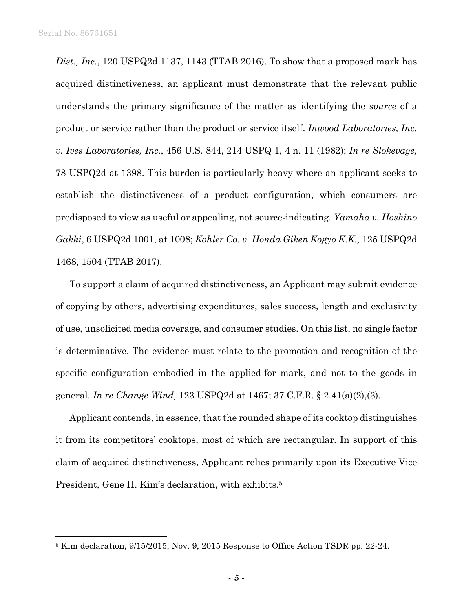$\overline{a}$ 

*Dist., Inc.*, 120 USPQ2d 1137, 1143 (TTAB 2016). To show that a proposed mark has acquired distinctiveness, an applicant must demonstrate that the relevant public understands the primary significance of the matter as identifying the *source* of a product or service rather than the product or service itself. *Inwood Laboratories, Inc. v. Ives Laboratories, Inc.*, 456 U.S. 844, 214 USPQ 1, 4 n. 11 (1982); *In re Slokevage,* 78 USPQ2d at 1398. This burden is particularly heavy where an applicant seeks to establish the distinctiveness of a product configuration, which consumers are predisposed to view as useful or appealing, not source-indicating. *Yamaha v. Hoshino Gakki*, 6 USPQ2d 1001, at 1008; *Kohler Co. v. Honda Giken Kogyo K.K.,* 125 USPQ2d 1468, 1504 (TTAB 2017).

To support a claim of acquired distinctiveness, an Applicant may submit evidence of copying by others, advertising expenditures, sales success, length and exclusivity of use, unsolicited media coverage, and consumer studies. On this list, no single factor is determinative. The evidence must relate to the promotion and recognition of the specific configuration embodied in the applied-for mark, and not to the goods in general. *In re Change Wind,* 123 USPQ2d at 1467; 37 C.F.R. § 2.41(a)(2),(3).

 Applicant contends, in essence, that the rounded shape of its cooktop distinguishes it from its competitors' cooktops, most of which are rectangular. In support of this claim of acquired distinctiveness, Applicant relies primarily upon its Executive Vice President, Gene H. Kim's declaration, with exhibits.<sup>5</sup>

<sup>5</sup> Kim declaration, 9/15/2015, Nov. 9, 2015 Response to Office Action TSDR pp. 22-24.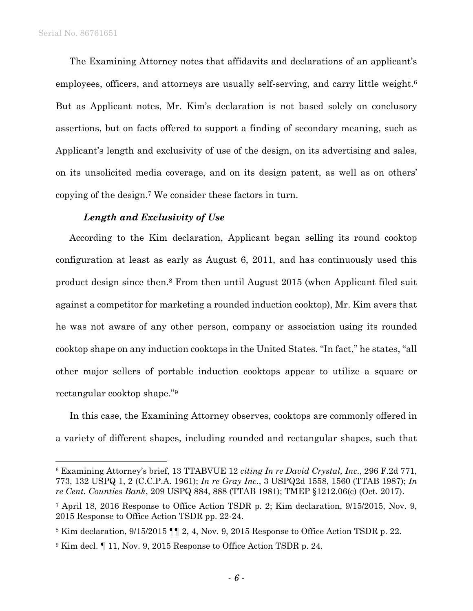l

 The Examining Attorney notes that affidavits and declarations of an applicant's employees, officers, and attorneys are usually self-serving, and carry little weight.<sup>6</sup> But as Applicant notes, Mr. Kim's declaration is not based solely on conclusory assertions, but on facts offered to support a finding of secondary meaning, such as Applicant's length and exclusivity of use of the design, on its advertising and sales, on its unsolicited media coverage, and on its design patent, as well as on others' copying of the design.7 We consider these factors in turn.

### *Length and Exclusivity of Use*

 According to the Kim declaration, Applicant began selling its round cooktop configuration at least as early as August 6, 2011, and has continuously used this product design since then.8 From then until August 2015 (when Applicant filed suit against a competitor for marketing a rounded induction cooktop), Mr. Kim avers that he was not aware of any other person, company or association using its rounded cooktop shape on any induction cooktops in the United States. "In fact," he states, "all other major sellers of portable induction cooktops appear to utilize a square or rectangular cooktop shape."9

 In this case, the Examining Attorney observes, cooktops are commonly offered in a variety of different shapes, including rounded and rectangular shapes, such that

<sup>6</sup> Examining Attorney's brief, 13 TTABVUE 12 *citing In re David Crystal, Inc.*, 296 F.2d 771, 773, 132 USPQ 1, 2 (C.C.P.A. 1961); *In re Gray Inc.*, 3 USPQ2d 1558, 1560 (TTAB 1987); *In re Cent. Counties Bank*, 209 USPQ 884, 888 (TTAB 1981); TMEP §1212.06(c) (Oct. 2017).

<sup>7</sup> April 18, 2016 Response to Office Action TSDR p. 2; Kim declaration, 9/15/2015, Nov. 9, 2015 Response to Office Action TSDR pp. 22-24.

<sup>8</sup> Kim declaration, 9/15/2015 ¶¶ 2, 4, Nov. 9, 2015 Response to Office Action TSDR p. 22.

<sup>9</sup> Kim decl. ¶ 11, Nov. 9, 2015 Response to Office Action TSDR p. 24.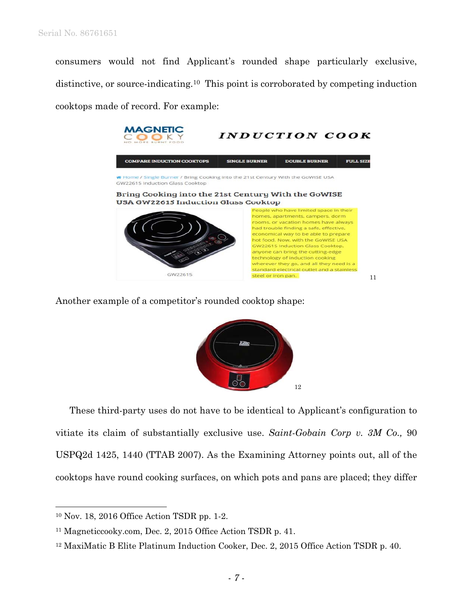consumers would not find Applicant's rounded shape particularly exclusive, distinctive, or source-indicating.10 This point is corroborated by competing induction cooktops made of record. For example:



Another example of a competitor's rounded cooktop shape:



 These third-party uses do not have to be identical to Applicant's configuration to vitiate its claim of substantially exclusive use. *Saint-Gobain Corp v. 3M Co.,* 90 USPQ2d 1425, 1440 (TTAB 2007). As the Examining Attorney points out, all of the cooktops have round cooking surfaces, on which pots and pans are placed; they differ

<sup>10</sup> Nov. 18, 2016 Office Action TSDR pp. 1-2.

<sup>11</sup> Magneticcooky.com, Dec. 2, 2015 Office Action TSDR p. 41.

<sup>&</sup>lt;sup>12</sup> MaxiMatic B Elite Platinum Induction Cooker, Dec. 2, 2015 Office Action TSDR p. 40.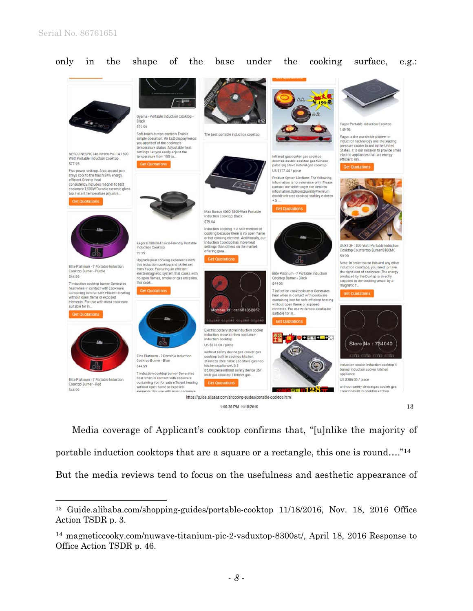

only in the shape of the base under the cooking surface, e.g.:

1:06:38 PM 11/18/2016

13

 Media coverage of Applicant's cooktop confirms that, "[u]nlike the majority of portable induction cooktops that are a square or a rectangle, this one is round…."14 But the media reviews tend to focus on the usefulness and aesthetic appearance of

<sup>&</sup>lt;sup>13</sup> Guide.alibaba.com/shopping-guides/portable-cooktop 11/18/2016, Nov. 18, 2016 Office Action TSDR p. 3.

<sup>14</sup> magneticcooky.com/nuwave-titanium-pic-2-vsduxtop-8300st/, April 18, 2016 Response to Office Action TSDR p. 46.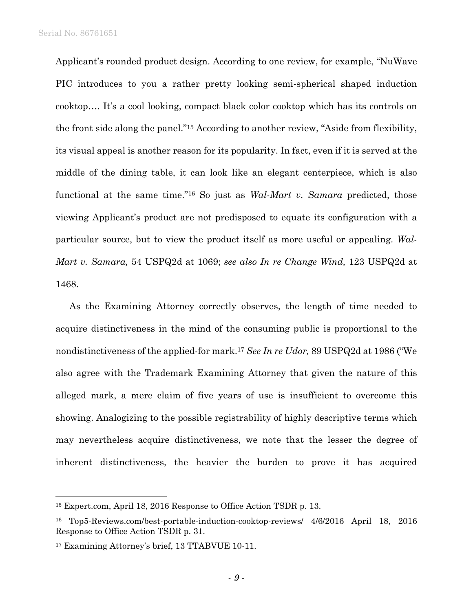Serial No. 86761651

Applicant's rounded product design. According to one review, for example, "NuWave PIC introduces to you a rather pretty looking semi-spherical shaped induction cooktop…. It's a cool looking, compact black color cooktop which has its controls on the front side along the panel."15 According to another review, "Aside from flexibility, its visual appeal is another reason for its popularity. In fact, even if it is served at the middle of the dining table, it can look like an elegant centerpiece, which is also functional at the same time."16 So just as *Wal-Mart v. Samara* predicted, those viewing Applicant's product are not predisposed to equate its configuration with a particular source, but to view the product itself as more useful or appealing. *Wal-Mart v. Samara,* 54 USPQ2d at 1069; *see also In re Change Wind,* 123 USPQ2d at 1468.

 As the Examining Attorney correctly observes, the length of time needed to acquire distinctiveness in the mind of the consuming public is proportional to the nondistinctiveness of the applied-for mark.17 *See In re Udor,* 89 USPQ2d at 1986 ("We also agree with the Trademark Examining Attorney that given the nature of this alleged mark, a mere claim of five years of use is insufficient to overcome this showing. Analogizing to the possible registrability of highly descriptive terms which may nevertheless acquire distinctiveness, we note that the lesser the degree of inherent distinctiveness, the heavier the burden to prove it has acquired

<sup>15</sup> Expert.com, April 18, 2016 Response to Office Action TSDR p. 13.

<sup>16</sup> Top5-Reviews.com/best-portable-induction-cooktop-reviews/ 4/6/2016 April 18, 2016 Response to Office Action TSDR p. 31.

<sup>17</sup> Examining Attorney's brief, 13 TTABVUE 10-11.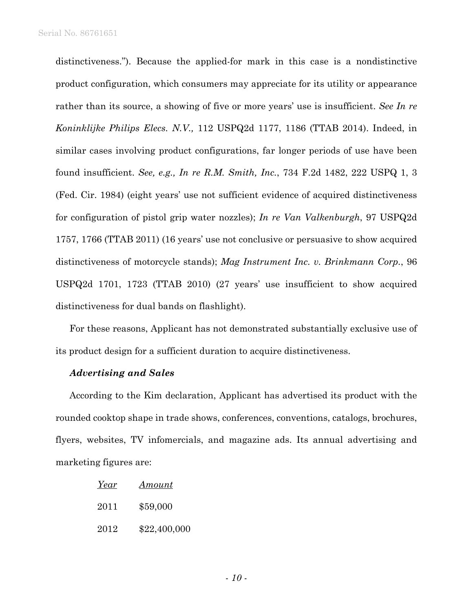distinctiveness."). Because the applied-for mark in this case is a nondistinctive product configuration, which consumers may appreciate for its utility or appearance rather than its source, a showing of five or more years' use is insufficient. *See In re Koninklijke Philips Elecs. N.V.,* 112 USPQ2d 1177, 1186 (TTAB 2014). Indeed, in similar cases involving product configurations, far longer periods of use have been found insufficient. *See, e.g., In re R.M. Smith, Inc.*, 734 F.2d 1482, 222 USPQ 1, 3 (Fed. Cir. 1984) (eight years' use not sufficient evidence of acquired distinctiveness for configuration of pistol grip water nozzles); *In re Van Valkenburgh*, 97 USPQ2d 1757, 1766 (TTAB 2011) (16 years' use not conclusive or persuasive to show acquired distinctiveness of motorcycle stands); *Mag Instrument Inc. v. Brinkmann Corp.*, 96 USPQ2d 1701, 1723 (TTAB 2010) (27 years' use insufficient to show acquired distinctiveness for dual bands on flashlight).

 For these reasons, Applicant has not demonstrated substantially exclusive use of its product design for a sufficient duration to acquire distinctiveness.

### *Advertising and Sales*

 According to the Kim declaration, Applicant has advertised its product with the rounded cooktop shape in trade shows, conferences, conventions, catalogs, brochures, flyers, websites, TV infomercials, and magazine ads. Its annual advertising and marketing figures are:

| Year | Amount       |
|------|--------------|
| 2011 | \$59,000     |
| 2012 | \$22,400,000 |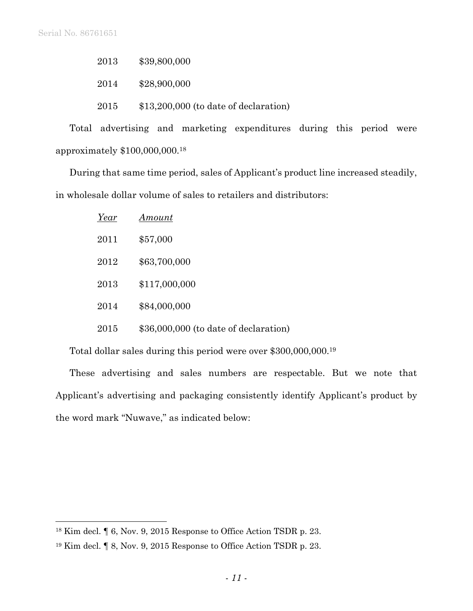2013 \$39,800,000

2014 \$28,900,000

2015 \$13,200,000 (to date of declaration)

 Total advertising and marketing expenditures during this period were approximately \$100,000,000.18

 During that same time period, sales of Applicant's product line increased steadily, in wholesale dollar volume of sales to retailers and distributors:

| Year | Amount                                |
|------|---------------------------------------|
| 2011 | \$57,000                              |
| 2012 | \$63,700,000                          |
| 2013 | \$117,000,000                         |
| 2014 | \$84,000,000                          |
| 2015 | \$36,000,000 (to date of declaration) |

Total dollar sales during this period were over \$300,000,000.19

 These advertising and sales numbers are respectable. But we note that Applicant's advertising and packaging consistently identify Applicant's product by the word mark "Nuwave," as indicated below:

<sup>18</sup> Kim decl. ¶ 6, Nov. 9, 2015 Response to Office Action TSDR p. 23.

<sup>19</sup> Kim decl. ¶ 8, Nov. 9, 2015 Response to Office Action TSDR p. 23.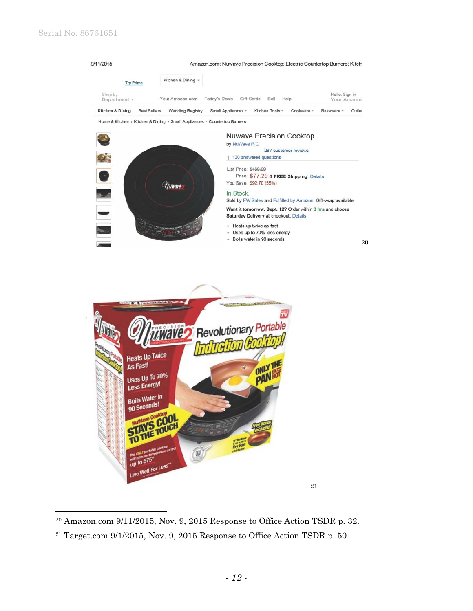$\overline{a}$ 



#### In Stock.

Sold by FW Sales and Fulfilled by Amazon. Gift-wrap available. Want it tomorrow, Sept. 12? Order within 3 hrs and choose Saturday Delivery at checkout. Details

21

· Heats up twice as fast

- Uses up to 70% less energy

<sup>2</sup> Boils water in so seconds 20



<sup>20</sup> Amazon.com 9/11/2015, Nov. 9, 2015 Response to Office Action TSDR p. 32.

 $21$  Target.com  $9/1/2015$ , Nov. 9, 2015 Response to Office Action TSDR p. 50.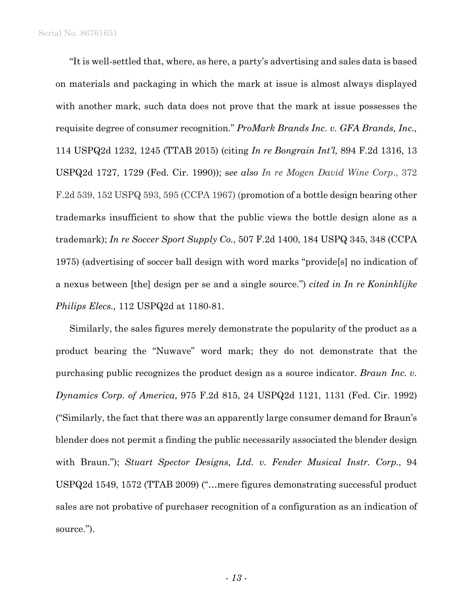"It is well-settled that, where, as here, a party's advertising and sales data is based on materials and packaging in which the mark at issue is almost always displayed with another mark, such data does not prove that the mark at issue possesses the requisite degree of consumer recognition." *ProMark Brands Inc. v. GFA Brands, Inc.,*  114 USPQ2d 1232, 1245 (TTAB 2015) (citing *In re Bongrain Int'l,* 894 F.2d 1316, 13 USPQ2d 1727, 1729 (Fed. Cir. 1990)); s*ee also In re Mogen David Wine Corp*., 372 F.2d 539, 152 USPQ 593, 595 (CCPA 1967) (promotion of a bottle design bearing other trademarks insufficient to show that the public views the bottle design alone as a trademark); *In re Soccer Sport Supply Co.*, 507 F.2d 1400, 184 USPQ 345, 348 (CCPA 1975) (advertising of soccer ball design with word marks "provide[s] no indication of a nexus between [the] design per se and a single source.") *cited in In re Koninklijke Philips Elecs.,* 112 USPQ2d at 1180-81.

 Similarly, the sales figures merely demonstrate the popularity of the product as a product bearing the "Nuwave" word mark; they do not demonstrate that the purchasing public recognizes the product design as a source indicator. *Braun Inc. v. Dynamics Corp. of America*, 975 F.2d 815, 24 USPQ2d 1121, 1131 (Fed. Cir. 1992) ("Similarly, the fact that there was an apparently large consumer demand for Braun's blender does not permit a finding the public necessarily associated the blender design with Braun."); *Stuart Spector Designs, Ltd. v. Fender Musical Instr. Corp.,* 94 USPQ2d 1549, 1572 (TTAB 2009) ("…mere figures demonstrating successful product sales are not probative of purchaser recognition of a configuration as an indication of source.").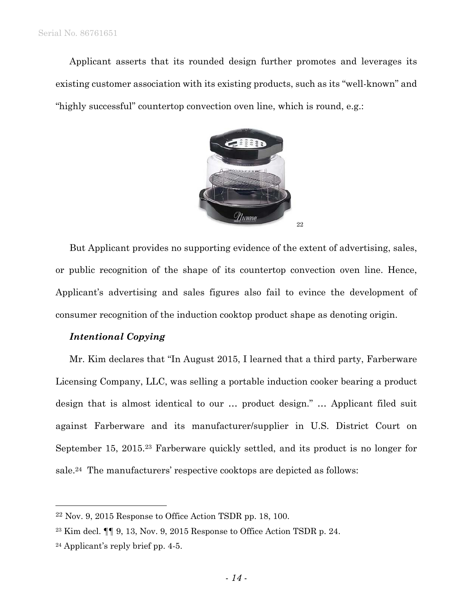Applicant asserts that its rounded design further promotes and leverages its existing customer association with its existing products, such as its "well-known" and "highly successful" countertop convection oven line, which is round, e.g.:



 But Applicant provides no supporting evidence of the extent of advertising, sales, or public recognition of the shape of its countertop convection oven line. Hence, Applicant's advertising and sales figures also fail to evince the development of consumer recognition of the induction cooktop product shape as denoting origin.

## *Intentional Copying*

 Mr. Kim declares that "In August 2015, I learned that a third party, Farberware Licensing Company, LLC, was selling a portable induction cooker bearing a product design that is almost identical to our … product design." … Applicant filed suit against Farberware and its manufacturer/supplier in U.S. District Court on September 15, 2015.23 Farberware quickly settled, and its product is no longer for sale.24 The manufacturers' respective cooktops are depicted as follows:

 $22$  Nov. 9, 2015 Response to Office Action TSDR pp. 18, 100.

<sup>&</sup>lt;sup>23</sup> Kim decl.  $\P\P$  9, 13, Nov. 9, 2015 Response to Office Action TSDR p. 24.

<sup>24</sup> Applicant's reply brief pp. 4-5.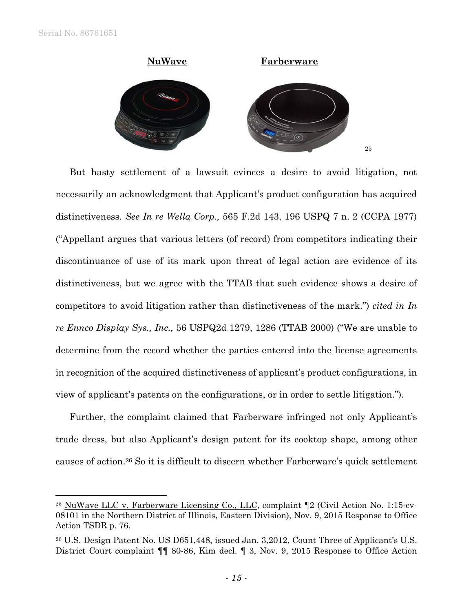

 But hasty settlement of a lawsuit evinces a desire to avoid litigation, not necessarily an acknowledgment that Applicant's product configuration has acquired distinctiveness. *See In re Wella Corp.,* 565 F.2d 143, 196 USPQ 7 n. 2 (CCPA 1977) ("Appellant argues that various letters (of record) from competitors indicating their discontinuance of use of its mark upon threat of legal action are evidence of its distinctiveness, but we agree with the TTAB that such evidence shows a desire of competitors to avoid litigation rather than distinctiveness of the mark.") *cited in In re Ennco Display Sys., Inc.,* 56 USPQ2d 1279, 1286 (TTAB 2000) ("We are unable to determine from the record whether the parties entered into the license agreements in recognition of the acquired distinctiveness of applicant's product configurations, in view of applicant's patents on the configurations, or in order to settle litigation.").

 Further, the complaint claimed that Farberware infringed not only Applicant's trade dress, but also Applicant's design patent for its cooktop shape, among other causes of action.26 So it is difficult to discern whether Farberware's quick settlement

 $25$  NuWave LLC v. Farberware Licensing Co., LLC, complaint  $\P$ 2 (Civil Action No. 1:15-cv-08101 in the Northern District of Illinois, Eastern Division), Nov. 9, 2015 Response to Office Action TSDR p. 76.

<sup>26</sup> U.S. Design Patent No. US D651,448, issued Jan. 3,2012, Count Three of Applicant's U.S. District Court complaint ¶¶ 80-86, Kim decl. ¶ 3, Nov. 9, 2015 Response to Office Action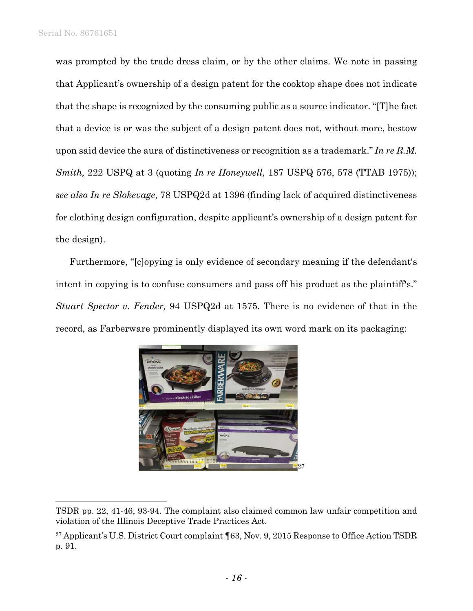was prompted by the trade dress claim, or by the other claims. We note in passing that Applicant's ownership of a design patent for the cooktop shape does not indicate that the shape is recognized by the consuming public as a source indicator. "[T]he fact that a device is or was the subject of a design patent does not, without more, bestow upon said device the aura of distinctiveness or recognition as a trademark." *In re R.M. Smith,* 222 USPQ at 3 (quoting *In re Honeywell,* 187 USPQ 576, 578 (TTAB 1975)); *see also In re Slokevage,* 78 USPQ2d at 1396 (finding lack of acquired distinctiveness for clothing design configuration, despite applicant's ownership of a design patent for the design).

 Furthermore, "[c]opying is only evidence of secondary meaning if the defendant's intent in copying is to confuse consumers and pass off his product as the plaintiff's." *Stuart Spector v. Fender,* 94 USPQ2d at 1575. There is no evidence of that in the record, as Farberware prominently displayed its own word mark on its packaging:



TSDR pp. 22, 41-46, 93-94. The complaint also claimed common law unfair competition and violation of the Illinois Deceptive Trade Practices Act.

<sup>&</sup>lt;sup>27</sup> Applicant's U.S. District Court complaint ¶63, Nov. 9, 2015 Response to Office Action TSDR p. 91.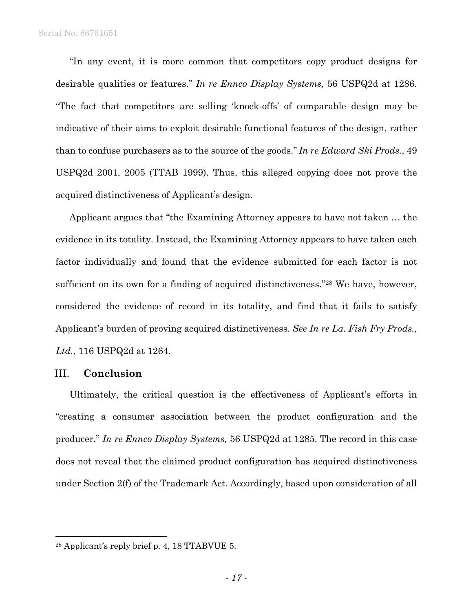"In any event, it is more common that competitors copy product designs for desirable qualities or features." *In re Ennco Display Systems,* 56 USPQ2d at 1286. "The fact that competitors are selling 'knock-offs' of comparable design may be indicative of their aims to exploit desirable functional features of the design, rather than to confuse purchasers as to the source of the goods." *In re Edward Ski Prods.*, 49 USPQ2d 2001, 2005 (TTAB 1999). Thus, this alleged copying does not prove the acquired distinctiveness of Applicant's design.

 Applicant argues that "the Examining Attorney appears to have not taken … the evidence in its totality. Instead, the Examining Attorney appears to have taken each factor individually and found that the evidence submitted for each factor is not sufficient on its own for a finding of acquired distinctiveness."28 We have, however, considered the evidence of record in its totality, and find that it fails to satisfy Applicant's burden of proving acquired distinctiveness. *See In re La. Fish Fry Prods., Ltd.*, 116 USPQ2d at 1264.

# III. **Conclusion**

1

Ultimately, the critical question is the effectiveness of Applicant's efforts in "creating a consumer association between the product configuration and the producer." *In re Ennco Display Systems,* 56 USPQ2d at 1285. The record in this case does not reveal that the claimed product configuration has acquired distinctiveness under Section 2(f) of the Trademark Act. Accordingly, based upon consideration of all

<sup>28</sup> Applicant's reply brief p. 4, 18 TTABVUE 5.